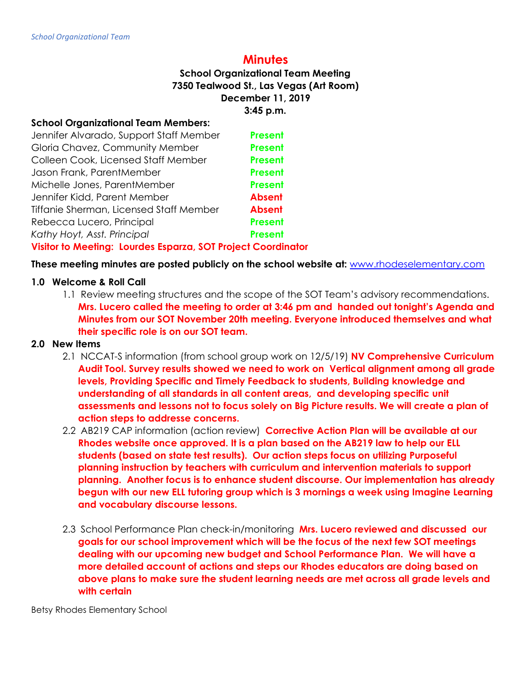# **Minutes**

## **School Organizational Team Meeting 7350 Tealwood St., Las Vegas (Art Room) December 11, 2019 3:45 p.m.**

### **School Organizational Team Members:**

| <b>Present</b>                                               |  |
|--------------------------------------------------------------|--|
| <b>Present</b>                                               |  |
| <b>Present</b>                                               |  |
| <b>Present</b>                                               |  |
| <b>Present</b>                                               |  |
| <b>Absent</b>                                                |  |
| <b>Absent</b>                                                |  |
| <b>Present</b>                                               |  |
| <b>Present</b>                                               |  |
| Visitor to Meeting: Lourdes Esparza, SOT Project Coordinator |  |
|                                                              |  |

**These meeting minutes are posted publicly on the school website at:** [www.rhodeselementary.com](http://www.rhodeselementary.com/)

### **1.0 Welcome & Roll Call**

1.1 Review meeting structures and the scope of the SOT Team's advisory recommendations. **Mrs. Lucero called the meeting to order at 3:46 pm and handed out tonight's Agenda and Minutes from our SOT November 20th meeting. Everyone introduced themselves and what their specific role is on our SOT team.**

## **2.0 New Items**

- 2.1 NCCAT-S information (from school group work on 12/5/19) **NV Comprehensive Curriculum Audit Tool. Survey results showed we need to work on Vertical alignment among all grade levels, Providing Specific and Timely Feedback to students, Building knowledge and understanding of all standards in all content areas, and developing specific unit assessments and lessons not to focus solely on Big Picture results. We will create a plan of action steps to addresse concerns.**
- 2.2 AB219 CAP information (action review) **Corrective Action Plan will be available at our Rhodes website once approved. It is a plan based on the AB219 law to help our ELL students (based on state test results). Our action steps focus on utilizing Purposeful planning instruction by teachers with curriculum and intervention materials to support planning. Another focus is to enhance student discourse. Our implementation has already begun with our new ELL tutoring group which is 3 mornings a week using Imagine Learning and vocabulary discourse lessons.**
- 2.3 School Performance Plan check-in/monitoring **Mrs. Lucero reviewed and discussed our goals for our school improvement which will be the focus of the next few SOT meetings dealing with our upcoming new budget and School Performance Plan. We will have a more detailed account of actions and steps our Rhodes educators are doing based on above plans to make sure the student learning needs are met across all grade levels and with certain**

Betsy Rhodes Elementary School